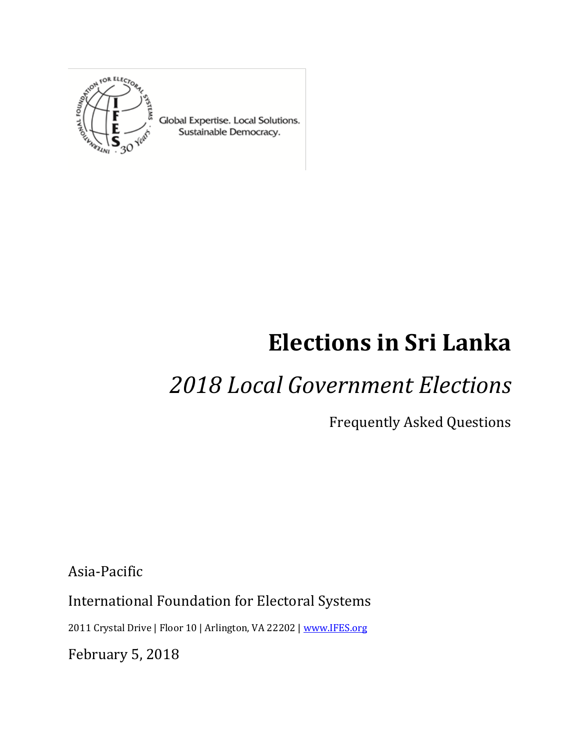

Global Expertise. Local Solutions. Sustainable Democracy.

# **Elections in Sri Lanka**

## *2018 Local Government Elections*

Frequently Asked Questions

Asia-Pacific

International Foundation for Electoral Systems

2011 Crystal Drive | Floor 10 | Arlington, VA 22202 [| www.IFES.org](file:///C:/Users/max/AppData/Local/Microsoft/Windows/INetCache/Content.Outlook/T1YQVVPB/www.IFES.org)

February 5, 2018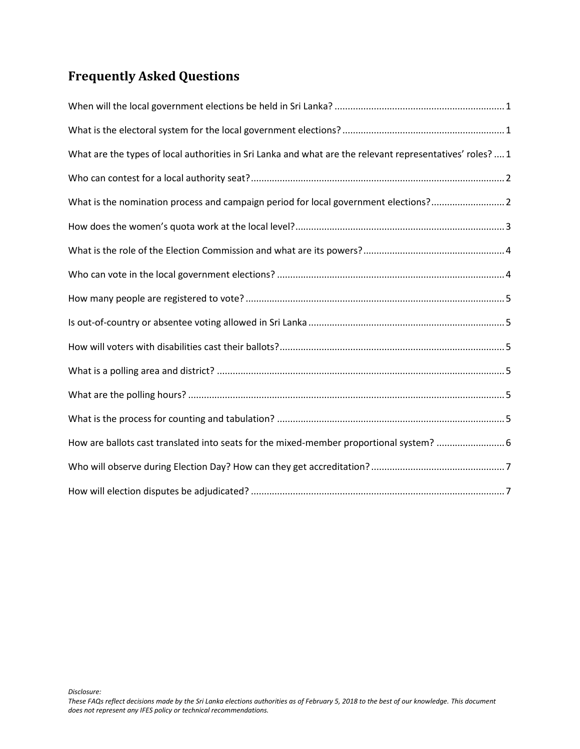### **Frequently Asked Questions**

| What are the types of local authorities in Sri Lanka and what are the relevant representatives' roles?  1 |
|-----------------------------------------------------------------------------------------------------------|
|                                                                                                           |
| What is the nomination process and campaign period for local government elections?2                       |
|                                                                                                           |
|                                                                                                           |
|                                                                                                           |
|                                                                                                           |
|                                                                                                           |
|                                                                                                           |
|                                                                                                           |
|                                                                                                           |
|                                                                                                           |
| How are ballots cast translated into seats for the mixed-member proportional system?                      |
|                                                                                                           |
|                                                                                                           |

*Disclosure:*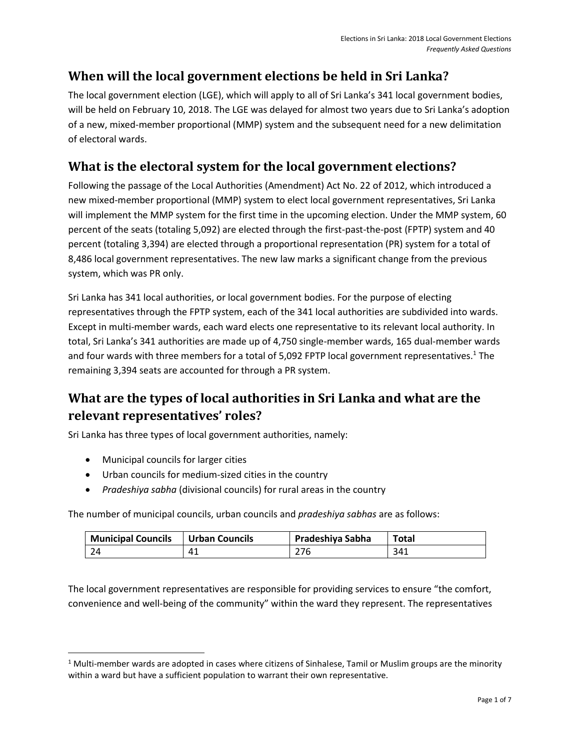#### <span id="page-2-0"></span>**When will the local government elections be held in Sri Lanka?**

The local government election (LGE), which will apply to all of Sri Lanka's 341 local government bodies, will be held on February 10, 2018. The LGE was delayed for almost two years due to Sri Lanka's adoption of a new, mixed-member proportional (MMP) system and the subsequent need for a new delimitation of electoral wards.

#### <span id="page-2-1"></span>**What is the electoral system for the local government elections?**

Following the passage of the Local Authorities (Amendment) Act No. 22 of 2012, which introduced a new mixed-member proportional (MMP) system to elect local government representatives, Sri Lanka will implement the MMP system for the first time in the upcoming election. Under the MMP system, 60 percent of the seats (totaling 5,092) are elected through the first-past-the-post (FPTP) system and 40 percent (totaling 3,394) are elected through a proportional representation (PR) system for a total of 8,486 local government representatives. The new law marks a significant change from the previous system, which was PR only.

Sri Lanka has 341 local authorities, or local government bodies. For the purpose of electing representatives through the FPTP system, each of the 341 local authorities are subdivided into wards. Except in multi-member wards, each ward elects one representative to its relevant local authority. In total, Sri Lanka's 341 authorities are made up of 4,750 single-member wards, 165 dual-member wards and four wards with three members for a total of 5,092 FPTP local government representatives.<sup>1</sup> The remaining 3,394 seats are accounted for through a PR system.

#### <span id="page-2-2"></span>**What are the types of local authorities in Sri Lanka and what are the relevant representatives' roles?**

Sri Lanka has three types of local government authorities, namely:

• Municipal councils for larger cities

 $\overline{\phantom{a}}$ 

- Urban councils for medium-sized cities in the country
- *Pradeshiya sabha* (divisional councils) for rural areas in the country

The number of municipal councils, urban councils and *pradeshiya sabhas* are as follows:

| <b>Municipal Councils</b> | <b>Urban Councils</b> | Pradeshiya Sabha | Total |
|---------------------------|-----------------------|------------------|-------|
| -24                       | 41                    | 276              | 341   |

The local government representatives are responsible for providing services to ensure "the comfort, convenience and well-being of the community" within the ward they represent. The representatives

 $1$  Multi-member wards are adopted in cases where citizens of Sinhalese, Tamil or Muslim groups are the minority within a ward but have a sufficient population to warrant their own representative.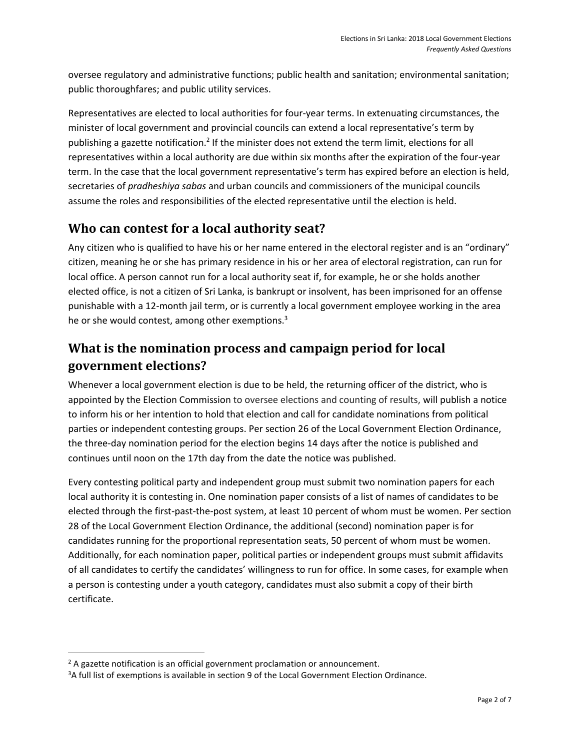oversee regulatory and administrative functions; public health and sanitation; environmental sanitation; public thoroughfares; and public utility services.

Representatives are elected to local authorities for four-year terms. In extenuating circumstances, the minister of local government and provincial councils can extend a local representative's term by publishing a gazette notification.<sup>2</sup> If the minister does not extend the term limit, elections for all representatives within a local authority are due within six months after the expiration of the four-year term. In the case that the local government representative's term has expired before an election is held, secretaries of *pradheshiya sabas* and urban councils and commissioners of the municipal councils assume the roles and responsibilities of the elected representative until the election is held.

#### <span id="page-3-0"></span>**Who can contest for a local authority seat?**

Any citizen who is qualified to have his or her name entered in the electoral register and is an "ordinary" citizen, meaning he or she has primary residence in his or her area of electoral registration, can run for local office. A person cannot run for a local authority seat if, for example, he or she holds another elected office, is not a citizen of Sri Lanka, is bankrupt or insolvent, has been imprisoned for an offense punishable with a 12-month jail term, or is currently a local government employee working in the area he or she would contest, among other exemptions.<sup>3</sup>

#### <span id="page-3-1"></span>**What is the nomination process and campaign period for local government elections?**

Whenever a local government election is due to be held, the returning officer of the district, who is appointed by the Election Commission to oversee elections and counting of results, will publish a notice to inform his or her intention to hold that election and call for candidate nominations from political parties or independent contesting groups. Per section 26 of the Local Government Election Ordinance, the three-day nomination period for the election begins 14 days after the notice is published and continues until noon on the 17th day from the date the notice was published.

Every contesting political party and independent group must submit two nomination papers for each local authority it is contesting in. One nomination paper consists of a list of names of candidates to be elected through the first-past-the-post system, at least 10 percent of whom must be women. Per section 28 of the Local Government Election Ordinance, the additional (second) nomination paper is for candidates running for the proportional representation seats, 50 percent of whom must be women. Additionally, for each nomination paper, political parties or independent groups must submit affidavits of all candidates to certify the candidates' willingness to run for office. In some cases, for example when a person is contesting under a youth category, candidates must also submit a copy of their birth certificate.

 $\overline{\phantom{a}}$ 

 $2$  A gazette notification is an official government proclamation or announcement.

<sup>&</sup>lt;sup>3</sup>A full list of exemptions is available in section 9 of the Local Government Election Ordinance.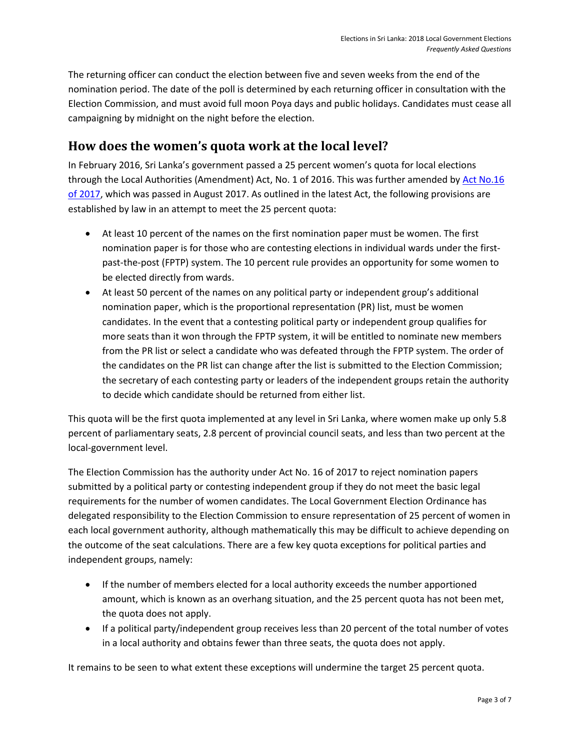The returning officer can conduct the election between five and seven weeks from the end of the nomination period. The date of the poll is determined by each returning officer in consultation with the Election Commission, and must avoid full moon Poya days and public holidays. Candidates must cease all campaigning by midnight on the night before the election.

#### <span id="page-4-0"></span>**How does the women's quota work at the local level?**

In February 2016, Sri Lanka's government passed a 25 percent women's quota for local elections through the Local Authorities (Amendment) Act, No. 1 of 2016. This was further amended by [Act No.16](http://srilankalaw.lk/gazette/2017_pdf/16-2017_E.pdf)  [of 2017,](http://srilankalaw.lk/gazette/2017_pdf/16-2017_E.pdf) which was passed in August 2017. As outlined in the latest Act, the following provisions are established by law in an attempt to meet the 25 percent quota:

- At least 10 percent of the names on the first nomination paper must be women. The first nomination paper is for those who are contesting elections in individual wards under the firstpast-the-post (FPTP) system. The 10 percent rule provides an opportunity for some women to be elected directly from wards.
- At least 50 percent of the names on any political party or independent group's additional nomination paper, which is the proportional representation (PR) list, must be women candidates. In the event that a contesting political party or independent group qualifies for more seats than it won through the FPTP system, it will be entitled to nominate new members from the PR list or select a candidate who was defeated through the FPTP system. The order of the candidates on the PR list can change after the list is submitted to the Election Commission; the secretary of each contesting party or leaders of the independent groups retain the authority to decide which candidate should be returned from either list.

This quota will be the first quota implemented at any level in Sri Lanka, where women make up only 5.8 percent of parliamentary seats, 2.8 percent of provincial council seats, and less than two percent at the local-government level.

The Election Commission has the authority under Act No. 16 of 2017 to reject nomination papers submitted by a political party or contesting independent group if they do not meet the basic legal requirements for the number of women candidates. The Local Government Election Ordinance has delegated responsibility to the Election Commission to ensure representation of 25 percent of women in each local government authority, although mathematically this may be difficult to achieve depending on the outcome of the seat calculations. There are a few key quota exceptions for political parties and independent groups, namely:

- If the number of members elected for a local authority exceeds the number apportioned amount, which is known as an overhang situation, and the 25 percent quota has not been met, the quota does not apply.
- If a political party/independent group receives less than 20 percent of the total number of votes in a local authority and obtains fewer than three seats, the quota does not apply.

It remains to be seen to what extent these exceptions will undermine the target 25 percent quota.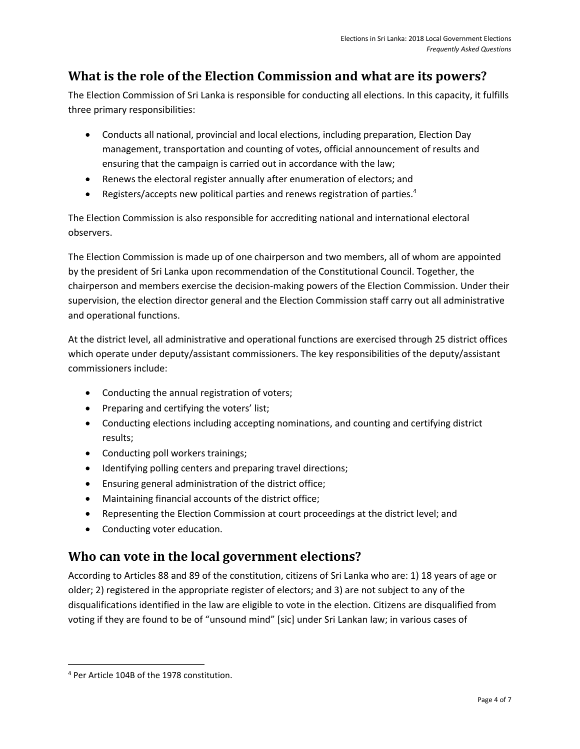#### <span id="page-5-0"></span>**What is the role of the Election Commission and what are its powers?**

The Election Commission of Sri Lanka is responsible for conducting all elections. In this capacity, it fulfills three primary responsibilities:

- Conducts all national, provincial and local elections, including preparation, Election Day management, transportation and counting of votes, official announcement of results and ensuring that the campaign is carried out in accordance with the law;
- Renews the electoral register annually after enumeration of electors; and
- Registers/accepts new political parties and renews registration of parties.<sup>4</sup>

The Election Commission is also responsible for accrediting national and international electoral observers.

The Election Commission is made up of one chairperson and two members, all of whom are appointed by the president of Sri Lanka upon recommendation of the Constitutional Council. Together, the chairperson and members exercise the decision-making powers of the Election Commission. Under their supervision, the election director general and the Election Commission staff carry out all administrative and operational functions.

At the district level, all administrative and operational functions are exercised through 25 district offices which operate under deputy/assistant commissioners. The key responsibilities of the deputy/assistant commissioners include:

- Conducting the annual registration of voters;
- Preparing and certifying the voters' list;
- Conducting elections including accepting nominations, and counting and certifying district results;
- Conducting poll workers trainings;
- Identifying polling centers and preparing travel directions;
- Ensuring general administration of the district office;
- Maintaining financial accounts of the district office;
- Representing the Election Commission at court proceedings at the district level; and
- Conducting voter education.

#### <span id="page-5-1"></span>**Who can vote in the local government elections?**

According to Articles 88 and 89 of the constitution, citizens of Sri Lanka who are: 1) 18 years of age or older; 2) registered in the appropriate register of electors; and 3) are not subject to any of the disqualifications identified in the law are eligible to vote in the election. Citizens are disqualified from voting if they are found to be of "unsound mind" [sic] under Sri Lankan law; in various cases of

 $\overline{\phantom{a}}$ 

<sup>4</sup> Per Article 104B of the 1978 constitution.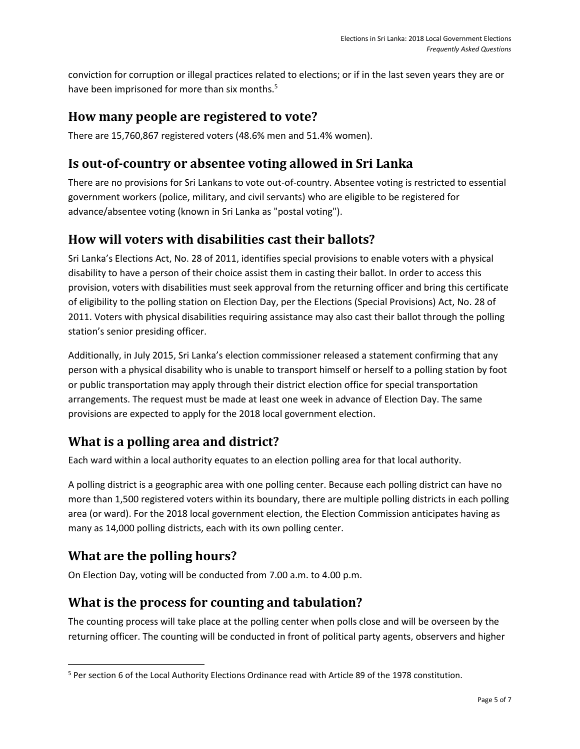conviction for corruption or illegal practices related to elections; or if in the last seven years they are or have been imprisoned for more than six months.<sup>5</sup>

#### <span id="page-6-0"></span>**How many people are registered to vote?**

There are 15,760,867 registered voters (48.6% men and 51.4% women).

#### <span id="page-6-1"></span>**Is out-of-country or absentee voting allowed in Sri Lanka**

There are no provisions for Sri Lankans to vote out-of-country. Absentee voting is restricted to essential government workers (police, military, and civil servants) who are eligible to be registered for advance/absentee voting (known in Sri Lanka as "postal voting").

#### <span id="page-6-2"></span>**How will voters with disabilities cast their ballots?**

Sri Lanka's Elections Act, No. 28 of 2011, identifies special provisions to enable voters with a physical disability to have a person of their choice assist them in casting their ballot. In order to access this provision, voters with disabilities must seek approval from the returning officer and bring this certificate of eligibility to the polling station on Election Day, per the Elections (Special Provisions) Act, No. 28 of 2011. Voters with physical disabilities requiring assistance may also cast their ballot through the polling station's senior presiding officer.

Additionally, in July 2015, Sri Lanka's election commissioner released a statement confirming that any person with a physical disability who is unable to transport himself or herself to a polling station by foot or public transportation may apply through their district election office for special transportation arrangements. The request must be made at least one week in advance of Election Day. The same provisions are expected to apply for the 2018 local government election.

#### <span id="page-6-3"></span>**What is a polling area and district?**

Each ward within a local authority equates to an election polling area for that local authority.

A polling district is a geographic area with one polling center. Because each polling district can have no more than 1,500 registered voters within its boundary, there are multiple polling districts in each polling area (or ward). For the 2018 local government election, the Election Commission anticipates having as many as 14,000 polling districts, each with its own polling center.

#### <span id="page-6-4"></span>**What are the polling hours?**

 $\overline{\phantom{a}}$ 

On Election Day, voting will be conducted from 7.00 a.m. to 4.00 p.m.

#### <span id="page-6-5"></span>**What is the process for counting and tabulation?**

The counting process will take place at the polling center when polls close and will be overseen by the returning officer. The counting will be conducted in front of political party agents, observers and higher

<sup>5</sup> Per section 6 of the Local Authority Elections Ordinance read with Article 89 of the 1978 constitution.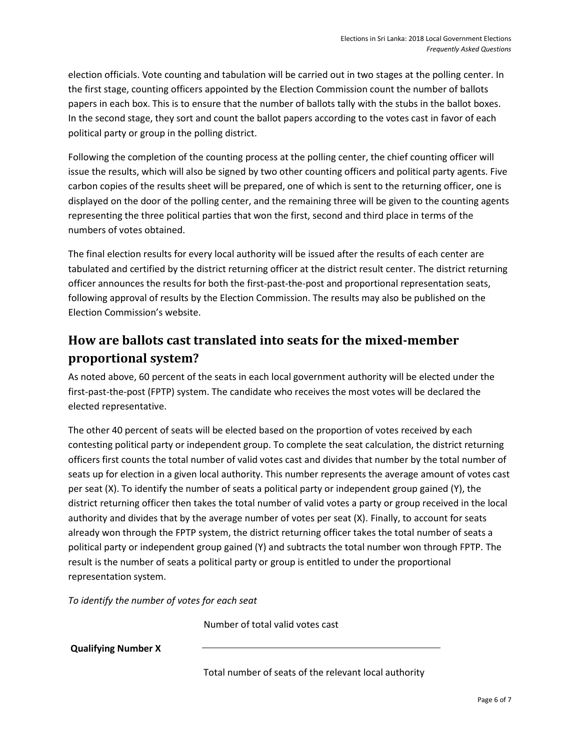election officials. Vote counting and tabulation will be carried out in two stages at the polling center. In the first stage, counting officers appointed by the Election Commission count the number of ballots papers in each box. This is to ensure that the number of ballots tally with the stubs in the ballot boxes. In the second stage, they sort and count the ballot papers according to the votes cast in favor of each political party or group in the polling district.

Following the completion of the counting process at the polling center, the chief counting officer will issue the results, which will also be signed by two other counting officers and political party agents. Five carbon copies of the results sheet will be prepared, one of which is sent to the returning officer, one is displayed on the door of the polling center, and the remaining three will be given to the counting agents representing the three political parties that won the first, second and third place in terms of the numbers of votes obtained.

The final election results for every local authority will be issued after the results of each center are tabulated and certified by the district returning officer at the district result center. The district returning officer announces the results for both the first-past-the-post and proportional representation seats, following approval of results by the Election Commission. The results may also be published on the Election Commission's website.

#### <span id="page-7-0"></span>**How are ballots cast translated into seats for the mixed-member proportional system?**

As noted above, 60 percent of the seats in each local government authority will be elected under the first-past-the-post (FPTP) system. The candidate who receives the most votes will be declared the elected representative.

The other 40 percent of seats will be elected based on the proportion of votes received by each contesting political party or independent group. To complete the seat calculation, the district returning officers first counts the total number of valid votes cast and divides that number by the total number of seats up for election in a given local authority. This number represents the average amount of votes cast per seat (X). To identify the number of seats a political party or independent group gained (Y), the district returning officer then takes the total number of valid votes a party or group received in the local authority and divides that by the average number of votes per seat (X). Finally, to account for seats already won through the FPTP system, the district returning officer takes the total number of seats a political party or independent group gained (Y) and subtracts the total number won through FPTP. The result is the number of seats a political party or group is entitled to under the proportional representation system.

*To identify the number of votes for each seat* 

Number of total valid votes cast

**Qualifying Number X**

Total number of seats of the relevant local authority